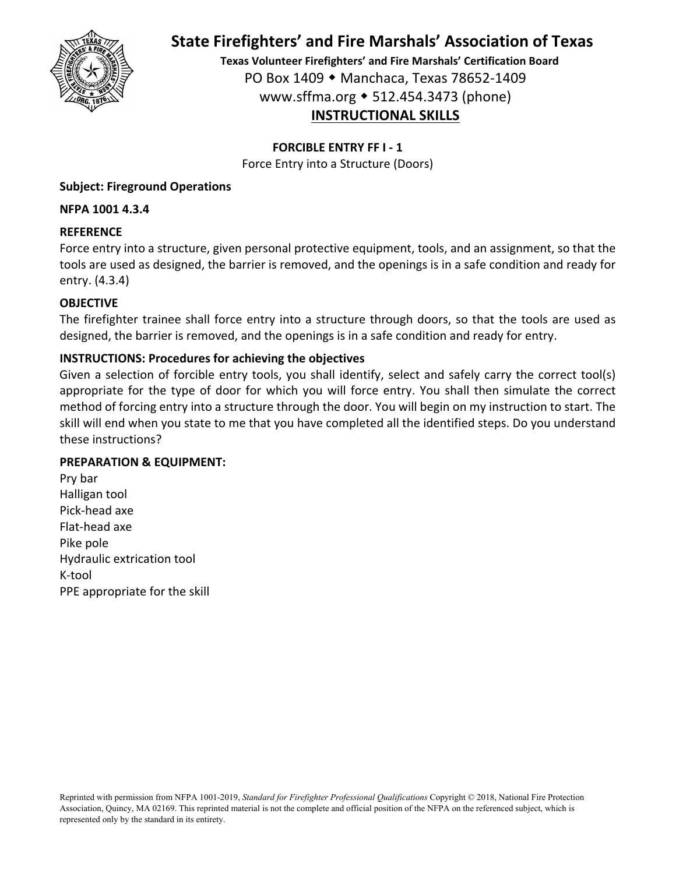

**Texas Volunteer Firefighters' and Fire Marshals' Certification Board** PO Box 1409 Manchaca, Texas 78652‐1409 www.sffma.org 512.454.3473 (phone) **INSTRUCTIONAL SKILLS**

### **FORCIBLE ENTRY FF I ‐ 1**

Force Entry into a Structure (Doors)

### **Subject: Fireground Operations**

### **NFPA 1001 4.3.4**

### **REFERENCE**

Force entry into a structure, given personal protective equipment, tools, and an assignment, so that the tools are used as designed, the barrier is removed, and the openings is in a safe condition and ready for entry. (4.3.4)

### **OBJECTIVE**

The firefighter trainee shall force entry into a structure through doors, so that the tools are used as designed, the barrier is removed, and the openings is in a safe condition and ready for entry.

## **INSTRUCTIONS: Procedures for achieving the objectives**

Given a selection of forcible entry tools, you shall identify, select and safely carry the correct tool(s) appropriate for the type of door for which you will force entry. You shall then simulate the correct method of forcing entry into a structure through the door. You will begin on my instruction to start. The skill will end when you state to me that you have completed all the identified steps. Do you understand these instructions?

### **PREPARATION & EQUIPMENT:**

Pry bar Halligan tool Pick‐head axe Flat‐head axe Pike pole Hydraulic extrication tool K‐tool PPE appropriate for the skill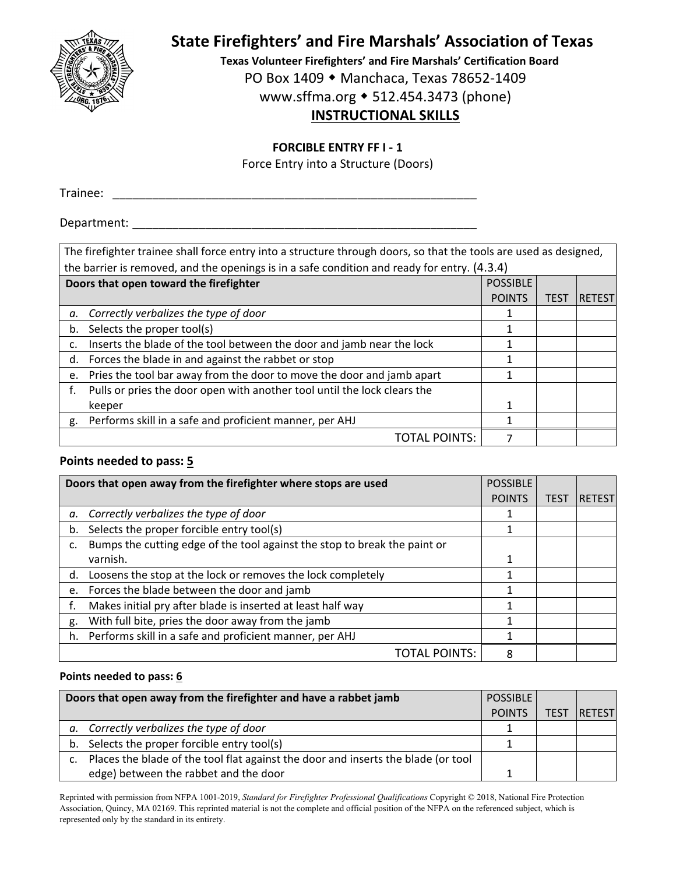

**Texas Volunteer Firefighters' and Fire Marshals' Certification Board**

PO Box 1409 ◆ Manchaca, Texas 78652-1409

www.sffma.org 512.454.3473 (phone)

# **INSTRUCTIONAL SKILLS**

### **FORCIBLE ENTRY FF I ‐ 1**

Force Entry into a Structure (Doors)

Trainee: \_\_\_\_\_\_\_\_\_\_\_\_\_\_\_\_\_\_\_\_\_\_\_\_\_\_\_\_\_\_\_\_\_\_\_\_\_\_\_\_\_\_\_\_\_\_\_\_\_\_\_\_\_\_\_

Department:

| The firefighter trainee shall force entry into a structure through doors, so that the tools are used as designed, |                 |             |               |
|-------------------------------------------------------------------------------------------------------------------|-----------------|-------------|---------------|
| the barrier is removed, and the openings is in a safe condition and ready for entry. (4.3.4)                      |                 |             |               |
| Doors that open toward the firefighter                                                                            | <b>POSSIBLE</b> |             |               |
|                                                                                                                   | <b>POINTS</b>   | <b>TES1</b> | <b>RETEST</b> |
| Correctly verbalizes the type of door<br>а.                                                                       | 1               |             |               |
| Selects the proper tool(s)<br>b.                                                                                  |                 |             |               |
| Inserts the blade of the tool between the door and jamb near the lock<br>c.                                       |                 |             |               |
| Forces the blade in and against the rabbet or stop<br>d.                                                          |                 |             |               |
| Pries the tool bar away from the door to move the door and jamb apart<br>e.                                       |                 |             |               |
| Pulls or pries the door open with another tool until the lock clears the                                          |                 |             |               |
| keeper                                                                                                            | 1               |             |               |
| g. Performs skill in a safe and proficient manner, per AHJ                                                        |                 |             |               |
| TOTAL POINTS:                                                                                                     |                 |             |               |

### **Points needed to pass: 5**

|    | Doors that open away from the firefighter where stops are used            | <b>POSSIBLE</b> |             |               |
|----|---------------------------------------------------------------------------|-----------------|-------------|---------------|
|    |                                                                           | <b>POINTS</b>   | <b>TES1</b> | <b>RETEST</b> |
| а. | Correctly verbalizes the type of door                                     |                 |             |               |
| b. | Selects the proper forcible entry tool(s)                                 |                 |             |               |
| c. | Bumps the cutting edge of the tool against the stop to break the paint or |                 |             |               |
|    | varnish.                                                                  |                 |             |               |
| d. | Loosens the stop at the lock or removes the lock completely               |                 |             |               |
| e. | Forces the blade between the door and jamb                                |                 |             |               |
|    | Makes initial pry after blade is inserted at least half way               |                 |             |               |
| g. | With full bite, pries the door away from the jamb                         | 1               |             |               |
| h. | Performs skill in a safe and proficient manner, per AHJ                   |                 |             |               |
|    | TOTAL POINTS:                                                             | 8               |             |               |

### **Points needed to pass: 6**

|    | Doors that open away from the firefighter and have a rabbet jamb                  | <b>POSSIBLE</b> |             |                |
|----|-----------------------------------------------------------------------------------|-----------------|-------------|----------------|
|    |                                                                                   | <b>POINTS</b>   | <b>TEST</b> | <b>IRETEST</b> |
| а. | Correctly verbalizes the type of door                                             |                 |             |                |
|    | b. Selects the proper forcible entry tool(s)                                      |                 |             |                |
| C. | Places the blade of the tool flat against the door and inserts the blade (or tool |                 |             |                |
|    | edge) between the rabbet and the door                                             |                 |             |                |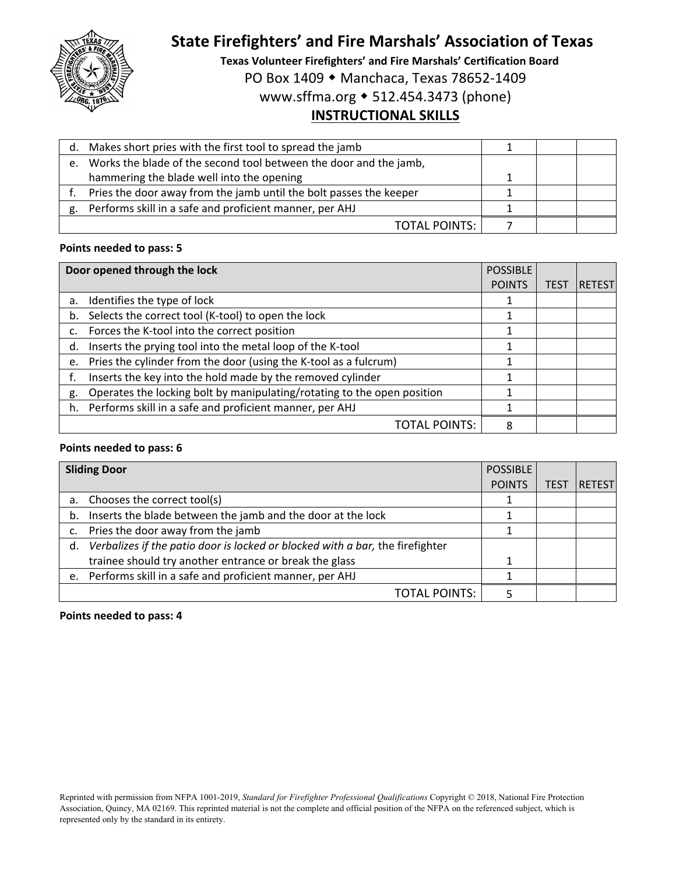

**Texas Volunteer Firefighters' and Fire Marshals' Certification Board**

PO Box 1409 ◆ Manchaca, Texas 78652-1409

www.sffma.org 512.454.3473 (phone)

# **INSTRUCTIONAL SKILLS**

|    | d. Makes short pries with the first tool to spread the jamb        |  |  |
|----|--------------------------------------------------------------------|--|--|
| e. | Works the blade of the second tool between the door and the jamb,  |  |  |
|    | hammering the blade well into the opening                          |  |  |
|    | Pries the door away from the jamb until the bolt passes the keeper |  |  |
| g. | Performs skill in a safe and proficient manner, per AHJ            |  |  |
|    | <b>TOTAL POINTS:</b>                                               |  |  |

#### **Points needed to pass: 5**

|    | Door opened through the lock                                            | <b>POSSIBLE</b> |             |               |
|----|-------------------------------------------------------------------------|-----------------|-------------|---------------|
|    |                                                                         | <b>POINTS</b>   | <b>TEST</b> | <b>RETEST</b> |
| a. | Identifies the type of lock                                             |                 |             |               |
| b. | Selects the correct tool (K-tool) to open the lock                      |                 |             |               |
|    | Forces the K-tool into the correct position                             |                 |             |               |
| d. | Inserts the prying tool into the metal loop of the K-tool               |                 |             |               |
| e. | Pries the cylinder from the door (using the K-tool as a fulcrum)        |                 |             |               |
|    | Inserts the key into the hold made by the removed cylinder              |                 |             |               |
| g. | Operates the locking bolt by manipulating/rotating to the open position |                 |             |               |
| h. | Performs skill in a safe and proficient manner, per AHJ                 |                 |             |               |
|    | TOTAL POINTS:                                                           | 8               |             |               |

#### **Points needed to pass: 6**

|    | <b>Sliding Door</b>                                                           | <b>POSSIBLE</b> |      |                |
|----|-------------------------------------------------------------------------------|-----------------|------|----------------|
|    |                                                                               | <b>POINTS</b>   | TES1 | <b>RETESTI</b> |
| a. | Chooses the correct tool(s)                                                   |                 |      |                |
| b. | Inserts the blade between the jamb and the door at the lock                   |                 |      |                |
|    | Pries the door away from the jamb                                             |                 |      |                |
| d. | Verbalizes if the patio door is locked or blocked with a bar, the firefighter |                 |      |                |
|    | trainee should try another entrance or break the glass                        |                 |      |                |
|    | e. Performs skill in a safe and proficient manner, per AHJ                    |                 |      |                |
|    | <b>TOTAL POINTS:</b>                                                          |                 |      |                |

#### **Points needed to pass: 4**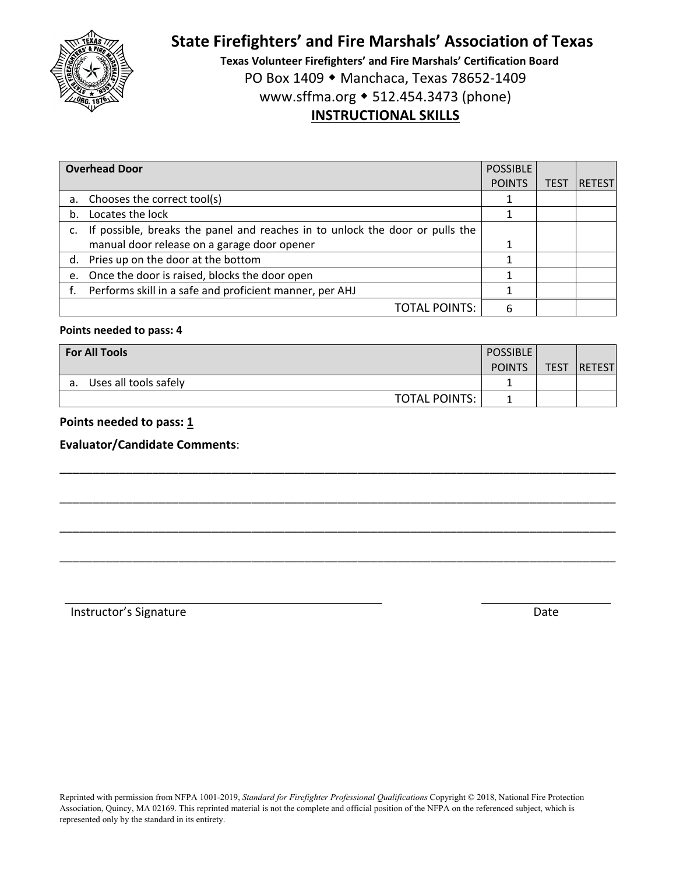

**Texas Volunteer Firefighters' and Fire Marshals' Certification Board** PO Box 1409 ◆ Manchaca, Texas 78652-1409 www.sffma.org 512.454.3473 (phone) **INSTRUCTIONAL SKILLS**

|    | <b>Overhead Door</b>                                                         | <b>POSSIBLE</b> |             |               |
|----|------------------------------------------------------------------------------|-----------------|-------------|---------------|
|    |                                                                              | <b>POINTS</b>   | <b>TEST</b> | <b>RETEST</b> |
| а. | Chooses the correct tool(s)                                                  |                 |             |               |
| b. | Locates the lock                                                             |                 |             |               |
|    | If possible, breaks the panel and reaches in to unlock the door or pulls the |                 |             |               |
|    | manual door release on a garage door opener                                  |                 |             |               |
|    | d. Pries up on the door at the bottom                                        |                 |             |               |
| e. | Once the door is raised, blocks the door open                                |                 |             |               |
|    | Performs skill in a safe and proficient manner, per AHJ                      |                 |             |               |
|    | TOTAL POINTS:                                                                | 6               |             |               |

#### **Points needed to pass: 4**

| <b>For All Tools</b>        | <b>POSSIBLE</b> |             |                |
|-----------------------------|-----------------|-------------|----------------|
|                             | <b>POINTS</b>   | <b>TEST</b> | <b>IRETEST</b> |
| Uses all tools safely<br>а. |                 |             |                |
| <b>TOTAL POINTS:</b>        |                 |             |                |

\_\_\_\_\_\_\_\_\_\_\_\_\_\_\_\_\_\_\_\_\_\_\_\_\_\_\_\_\_\_\_\_\_\_\_\_\_\_\_\_\_\_\_\_\_\_\_\_\_\_\_\_\_\_\_\_\_\_\_\_\_\_\_\_\_\_\_\_\_\_\_\_\_\_\_\_\_\_\_\_\_\_\_\_

\_\_\_\_\_\_\_\_\_\_\_\_\_\_\_\_\_\_\_\_\_\_\_\_\_\_\_\_\_\_\_\_\_\_\_\_\_\_\_\_\_\_\_\_\_\_\_\_\_\_\_\_\_\_\_\_\_\_\_\_\_\_\_\_\_\_\_\_\_\_\_\_\_\_\_\_\_\_\_\_\_\_\_\_

\_\_\_\_\_\_\_\_\_\_\_\_\_\_\_\_\_\_\_\_\_\_\_\_\_\_\_\_\_\_\_\_\_\_\_\_\_\_\_\_\_\_\_\_\_\_\_\_\_\_\_\_\_\_\_\_\_\_\_\_\_\_\_\_\_\_\_\_\_\_\_\_\_\_\_\_\_\_\_\_\_\_\_\_

\_\_\_\_\_\_\_\_\_\_\_\_\_\_\_\_\_\_\_\_\_\_\_\_\_\_\_\_\_\_\_\_\_\_\_\_\_\_\_\_\_\_\_\_\_\_\_\_\_\_\_\_\_\_\_\_\_\_\_\_\_\_\_\_\_\_\_\_\_\_\_\_\_\_\_\_\_\_\_\_\_\_\_\_

### **Points needed to pass: 1**

**Evaluator/Candidate Comments**: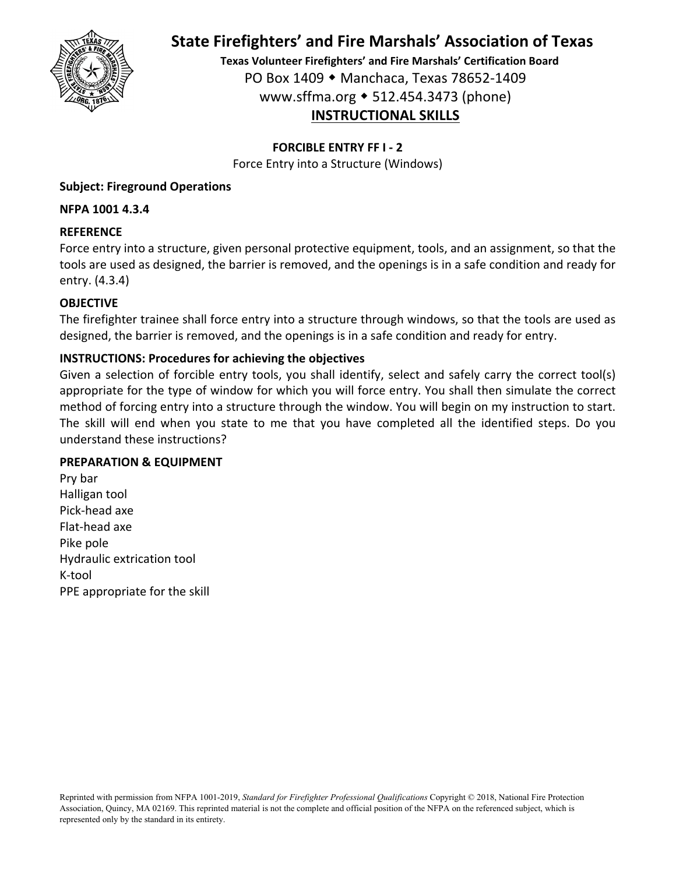

**Texas Volunteer Firefighters' and Fire Marshals' Certification Board** PO Box 1409 Manchaca, Texas 78652‐1409 www.sffma.org 512.454.3473 (phone) **INSTRUCTIONAL SKILLS**

## **FORCIBLE ENTRY FF I ‐ 2**

Force Entry into a Structure (Windows)

# **Subject: Fireground Operations**

### **NFPA 1001 4.3.4**

## **REFERENCE**

Force entry into a structure, given personal protective equipment, tools, and an assignment, so that the tools are used as designed, the barrier is removed, and the openings is in a safe condition and ready for entry. (4.3.4)

## **OBJECTIVE**

The firefighter trainee shall force entry into a structure through windows, so that the tools are used as designed, the barrier is removed, and the openings is in a safe condition and ready for entry.

## **INSTRUCTIONS: Procedures for achieving the objectives**

Given a selection of forcible entry tools, you shall identify, select and safely carry the correct tool(s) appropriate for the type of window for which you will force entry. You shall then simulate the correct method of forcing entry into a structure through the window. You will begin on my instruction to start. The skill will end when you state to me that you have completed all the identified steps. Do you understand these instructions?

### **PREPARATION & EQUIPMENT**

Pry bar Halligan tool Pick‐head axe Flat‐head axe Pike pole Hydraulic extrication tool K‐tool PPE appropriate for the skill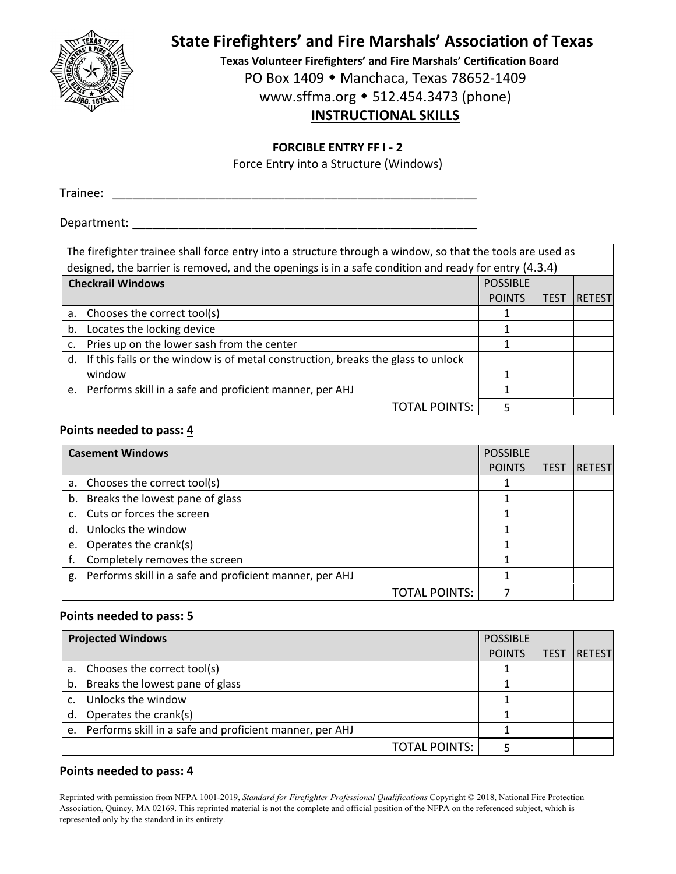

**Texas Volunteer Firefighters' and Fire Marshals' Certification Board**

PO Box 1409 ◆ Manchaca, Texas 78652-1409

www.sffma.org 512.454.3473 (phone)

# **INSTRUCTIONAL SKILLS**

### **FORCIBLE ENTRY FF I ‐ 2**

Force Entry into a Structure (Windows)

Trainee: \_\_\_\_\_\_\_\_\_\_\_\_\_\_\_\_\_\_\_\_\_\_\_\_\_\_\_\_\_\_\_\_\_\_\_\_\_\_\_\_\_\_\_\_\_\_\_\_\_\_\_\_\_\_\_

### Department:

| The firefighter trainee shall force entry into a structure through a window, so that the tools are used as |                 |             |               |  |
|------------------------------------------------------------------------------------------------------------|-----------------|-------------|---------------|--|
| designed, the barrier is removed, and the openings is in a safe condition and ready for entry (4.3.4)      |                 |             |               |  |
| <b>Checkrail Windows</b>                                                                                   | <b>POSSIBLE</b> |             |               |  |
|                                                                                                            | <b>POINTS</b>   | <b>TEST</b> | <b>RETEST</b> |  |
| a. Chooses the correct tool(s)                                                                             |                 |             |               |  |
| b. Locates the locking device                                                                              |                 |             |               |  |
| Pries up on the lower sash from the center<br>c.                                                           |                 |             |               |  |
| d. If this fails or the window is of metal construction, breaks the glass to unlock                        |                 |             |               |  |
| window                                                                                                     |                 |             |               |  |
| e. Performs skill in a safe and proficient manner, per AHJ                                                 |                 |             |               |  |
| TOTAL POINTS:                                                                                              |                 |             |               |  |

### **Points needed to pass: 4**

|    | <b>Casement Windows</b>                                 | <b>POSSIBLE</b> |             |               |
|----|---------------------------------------------------------|-----------------|-------------|---------------|
|    |                                                         | <b>POINTS</b>   | <b>TEST</b> | <b>RETEST</b> |
|    | a. Chooses the correct tool(s)                          |                 |             |               |
|    | b. Breaks the lowest pane of glass                      |                 |             |               |
|    | c. Cuts or forces the screen                            |                 |             |               |
|    | d. Unlocks the window                                   |                 |             |               |
| e. | Operates the crank(s)                                   |                 |             |               |
|    | Completely removes the screen                           |                 |             |               |
| g. | Performs skill in a safe and proficient manner, per AHJ |                 |             |               |
|    | <b>TOTAL POINTS:</b>                                    |                 |             |               |

### **Points needed to pass: 5**

| <b>Projected Windows</b>                                   | <b>POSSIBLE</b> |             |               |
|------------------------------------------------------------|-----------------|-------------|---------------|
|                                                            | <b>POINTS</b>   | <b>TEST</b> | <b>RETEST</b> |
| a. Chooses the correct tool(s)                             |                 |             |               |
| b. Breaks the lowest pane of glass                         |                 |             |               |
| Unlocks the window                                         |                 |             |               |
| d. Operates the crank(s)                                   |                 |             |               |
| e. Performs skill in a safe and proficient manner, per AHJ |                 |             |               |
| <b>TOTAL POINTS:</b>                                       |                 |             |               |

### **Points needed to pass: 4**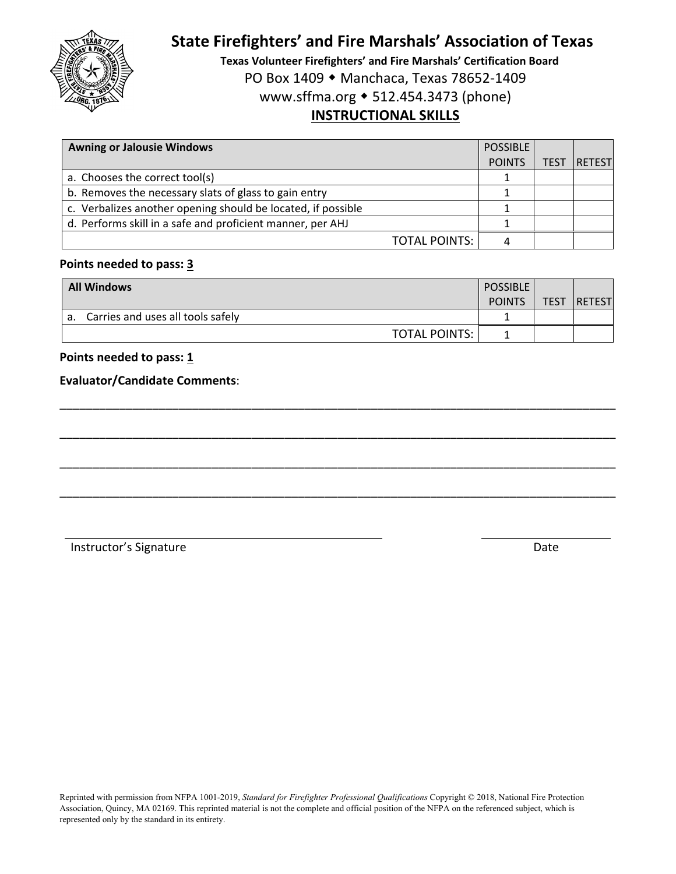

**Texas Volunteer Firefighters' and Fire Marshals' Certification Board** PO Box 1409 ◆ Manchaca, Texas 78652-1409 www.sffma.org 512.454.3473 (phone) **INSTRUCTIONAL SKILLS**

| <b>Awning or Jalousie Windows</b>                            | <b>POSSIBLE</b> |      |               |
|--------------------------------------------------------------|-----------------|------|---------------|
|                                                              | <b>POINTS</b>   | TEST | <b>RETEST</b> |
| a. Chooses the correct tool(s)                               |                 |      |               |
| b. Removes the necessary slats of glass to gain entry        |                 |      |               |
| c. Verbalizes another opening should be located, if possible |                 |      |               |
| d. Performs skill in a safe and proficient manner, per AHJ   |                 |      |               |
| <b>TOTAL POINTS:</b>                                         |                 |      |               |

# **Points needed to pass: 3**

| <b>All Windows</b>                      | <b>POSSIBLE</b><br><b>POINTS</b> | <b>TEST</b> | <b>RETEST</b> |
|-----------------------------------------|----------------------------------|-------------|---------------|
| Carries and uses all tools safely<br>а. |                                  |             |               |
| <b>TOTAL POINTS:</b>                    |                                  |             |               |

\_\_\_\_\_\_\_\_\_\_\_\_\_\_\_\_\_\_\_\_\_\_\_\_\_\_\_\_\_\_\_\_\_\_\_\_\_\_\_\_\_\_\_\_\_\_\_\_\_\_\_\_\_\_\_\_\_\_\_\_\_\_\_\_\_\_\_\_\_\_\_\_\_\_\_\_\_\_\_\_\_\_\_\_

\_\_\_\_\_\_\_\_\_\_\_\_\_\_\_\_\_\_\_\_\_\_\_\_\_\_\_\_\_\_\_\_\_\_\_\_\_\_\_\_\_\_\_\_\_\_\_\_\_\_\_\_\_\_\_\_\_\_\_\_\_\_\_\_\_\_\_\_\_\_\_\_\_\_\_\_\_\_\_\_\_\_\_\_

\_\_\_\_\_\_\_\_\_\_\_\_\_\_\_\_\_\_\_\_\_\_\_\_\_\_\_\_\_\_\_\_\_\_\_\_\_\_\_\_\_\_\_\_\_\_\_\_\_\_\_\_\_\_\_\_\_\_\_\_\_\_\_\_\_\_\_\_\_\_\_\_\_\_\_\_\_\_\_\_\_\_\_\_

\_\_\_\_\_\_\_\_\_\_\_\_\_\_\_\_\_\_\_\_\_\_\_\_\_\_\_\_\_\_\_\_\_\_\_\_\_\_\_\_\_\_\_\_\_\_\_\_\_\_\_\_\_\_\_\_\_\_\_\_\_\_\_\_\_\_\_\_\_\_\_\_\_\_\_\_\_\_\_\_\_\_\_\_

### **Points needed to pass: 1**

#### **Evaluator/Candidate Comments**: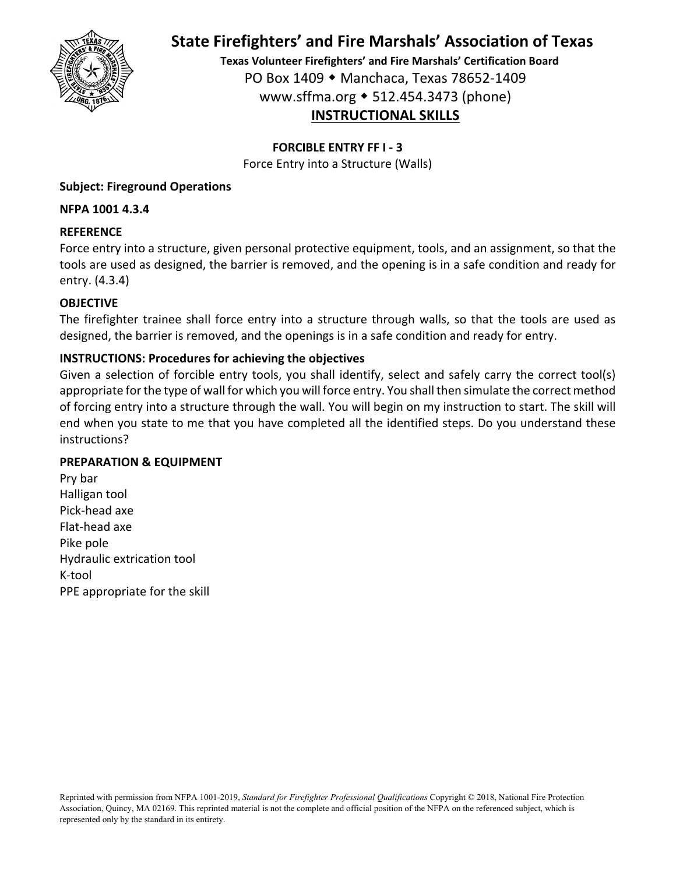

**Texas Volunteer Firefighters' and Fire Marshals' Certification Board** PO Box 1409 Manchaca, Texas 78652‐1409 www.sffma.org 512.454.3473 (phone) **INSTRUCTIONAL SKILLS**

### **FORCIBLE ENTRY FF I ‐ 3**

Force Entry into a Structure (Walls)

### **Subject: Fireground Operations**

### **NFPA 1001 4.3.4**

### **REFERENCE**

Force entry into a structure, given personal protective equipment, tools, and an assignment, so that the tools are used as designed, the barrier is removed, and the opening is in a safe condition and ready for entry. (4.3.4)

### **OBJECTIVE**

The firefighter trainee shall force entry into a structure through walls, so that the tools are used as designed, the barrier is removed, and the openings is in a safe condition and ready for entry.

### **INSTRUCTIONS: Procedures for achieving the objectives**

Given a selection of forcible entry tools, you shall identify, select and safely carry the correct tool(s) appropriate for the type of wall for which you will force entry. You shall then simulate the correct method of forcing entry into a structure through the wall. You will begin on my instruction to start. The skill will end when you state to me that you have completed all the identified steps. Do you understand these instructions?

### **PREPARATION & EQUIPMENT**

Pry bar Halligan tool Pick‐head axe Flat‐head axe Pike pole Hydraulic extrication tool K‐tool PPE appropriate for the skill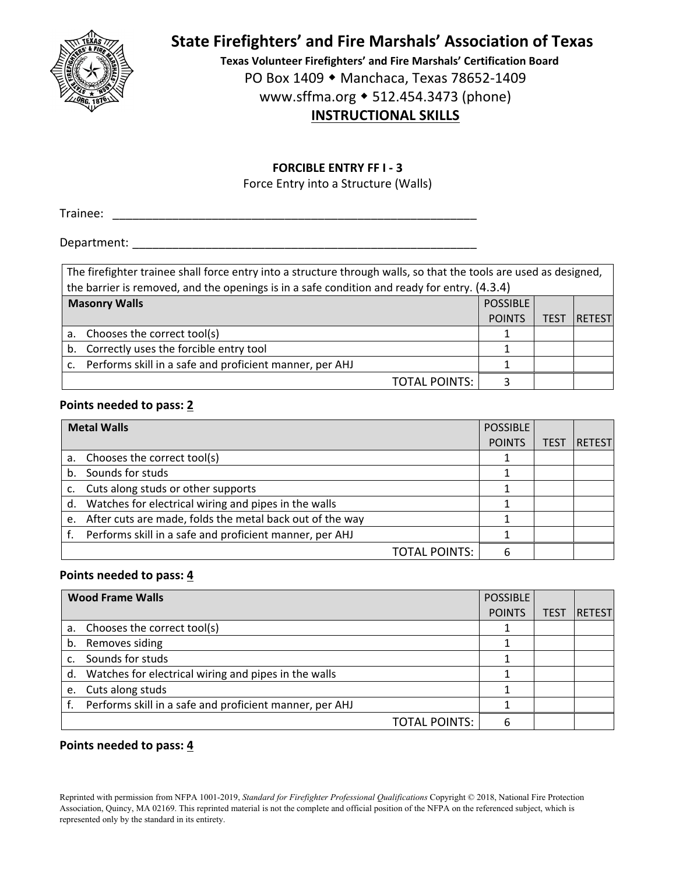

**Texas Volunteer Firefighters' and Fire Marshals' Certification Board** PO Box 1409 ◆ Manchaca, Texas 78652-1409 www.sffma.org 512.454.3473 (phone) **INSTRUCTIONAL SKILLS**

#### **FORCIBLE ENTRY FF I ‐ 3**

Force Entry into a Structure (Walls)

Trainee: \_\_\_\_\_\_\_\_\_\_\_\_\_\_\_\_\_\_\_\_\_\_\_\_\_\_\_\_\_\_\_\_\_\_\_\_\_\_\_\_\_\_\_\_\_\_\_\_\_\_\_\_\_\_\_

Department:  $\blacksquare$ 

| The firefighter trainee shall force entry into a structure through walls, so that the tools are used as designed, |                 |      |               |  |  |
|-------------------------------------------------------------------------------------------------------------------|-----------------|------|---------------|--|--|
| the barrier is removed, and the openings is in a safe condition and ready for entry. (4.3.4)                      |                 |      |               |  |  |
| <b>Masonry Walls</b>                                                                                              | <b>POSSIBLE</b> |      |               |  |  |
|                                                                                                                   | <b>POINTS</b>   | TES1 | <b>RETEST</b> |  |  |
| Chooses the correct tool(s)<br>a.                                                                                 |                 |      |               |  |  |
| b. Correctly uses the forcible entry tool                                                                         |                 |      |               |  |  |
| c. Performs skill in a safe and proficient manner, per AHJ                                                        |                 |      |               |  |  |
| <b>TOTAL POINTS:</b>                                                                                              |                 |      |               |  |  |

### **Points needed to pass: 2**

| <b>Metal Walls</b> |                                                          | <b>POSSIBLE</b> |             |        |
|--------------------|----------------------------------------------------------|-----------------|-------------|--------|
|                    |                                                          | <b>POINTS</b>   | <b>TEST</b> | RETEST |
|                    | a. Chooses the correct tool(s)                           |                 |             |        |
|                    | b. Sounds for studs                                      |                 |             |        |
|                    | Cuts along studs or other supports                       |                 |             |        |
| d.                 | Watches for electrical wiring and pipes in the walls     |                 |             |        |
| e.                 | After cuts are made, folds the metal back out of the way |                 |             |        |
|                    | Performs skill in a safe and proficient manner, per AHJ  |                 |             |        |
|                    | <b>TOTAL POINTS:</b>                                     | 6               |             |        |

#### **Points needed to pass: 4**

|    | <b>Wood Frame Walls</b><br><b>POSSIBLE</b>              |               |             |               |
|----|---------------------------------------------------------|---------------|-------------|---------------|
|    |                                                         | <b>POINTS</b> | <b>TEST</b> | <b>RETEST</b> |
|    | a. Chooses the correct tool(s)                          |               |             |               |
| b. | Removes siding                                          |               |             |               |
|    | Sounds for studs                                        |               |             |               |
| d. | Watches for electrical wiring and pipes in the walls    |               |             |               |
|    | e. Cuts along studs                                     |               |             |               |
|    | Performs skill in a safe and proficient manner, per AHJ |               |             |               |
|    | <b>TOTAL POINTS:</b>                                    |               |             |               |

#### **Points needed to pass: 4**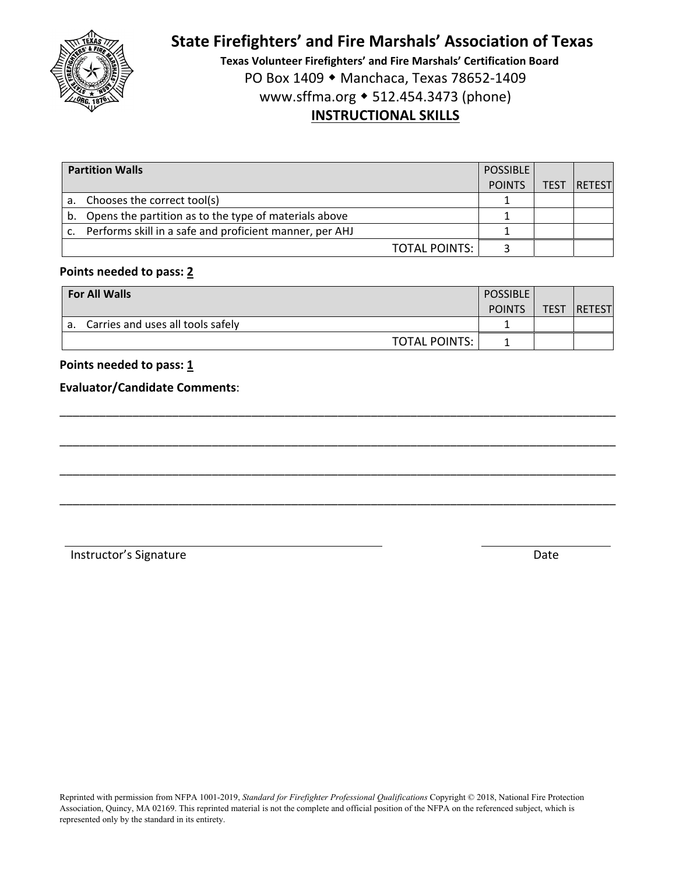

**Texas Volunteer Firefighters' and Fire Marshals' Certification Board** PO Box 1409 ◆ Manchaca, Texas 78652-1409 www.sffma.org 512.454.3473 (phone) **INSTRUCTIONAL SKILLS**

| <b>Partition Walls</b> |                                                            | <b>POSSIBLE</b> |             |                |
|------------------------|------------------------------------------------------------|-----------------|-------------|----------------|
|                        |                                                            | <b>POINTS</b>   | <b>TEST</b> | <b>IRETEST</b> |
|                        | a. Chooses the correct tool(s)                             |                 |             |                |
|                        | b. Opens the partition as to the type of materials above   |                 |             |                |
|                        | c. Performs skill in a safe and proficient manner, per AHJ |                 |             |                |
|                        | TOTAL POINTS:                                              |                 |             |                |

### **Points needed to pass: 2**

| <b>For All Walls</b>                    | <b>POSSIBLE</b><br><b>POINTS</b> | <b>TEST</b> | <b>RETEST</b> |
|-----------------------------------------|----------------------------------|-------------|---------------|
| Carries and uses all tools safely<br>а. |                                  |             |               |
| <b>TOTAL POINTS:</b>                    |                                  |             |               |

\_\_\_\_\_\_\_\_\_\_\_\_\_\_\_\_\_\_\_\_\_\_\_\_\_\_\_\_\_\_\_\_\_\_\_\_\_\_\_\_\_\_\_\_\_\_\_\_\_\_\_\_\_\_\_\_\_\_\_\_\_\_\_\_\_\_\_\_\_\_\_\_\_\_\_\_\_\_\_\_\_\_\_\_

\_\_\_\_\_\_\_\_\_\_\_\_\_\_\_\_\_\_\_\_\_\_\_\_\_\_\_\_\_\_\_\_\_\_\_\_\_\_\_\_\_\_\_\_\_\_\_\_\_\_\_\_\_\_\_\_\_\_\_\_\_\_\_\_\_\_\_\_\_\_\_\_\_\_\_\_\_\_\_\_\_\_\_\_

\_\_\_\_\_\_\_\_\_\_\_\_\_\_\_\_\_\_\_\_\_\_\_\_\_\_\_\_\_\_\_\_\_\_\_\_\_\_\_\_\_\_\_\_\_\_\_\_\_\_\_\_\_\_\_\_\_\_\_\_\_\_\_\_\_\_\_\_\_\_\_\_\_\_\_\_\_\_\_\_\_\_\_\_

\_\_\_\_\_\_\_\_\_\_\_\_\_\_\_\_\_\_\_\_\_\_\_\_\_\_\_\_\_\_\_\_\_\_\_\_\_\_\_\_\_\_\_\_\_\_\_\_\_\_\_\_\_\_\_\_\_\_\_\_\_\_\_\_\_\_\_\_\_\_\_\_\_\_\_\_\_\_\_\_\_\_\_\_

### **Points needed to pass: 1**

### **Evaluator/Candidate Comments**: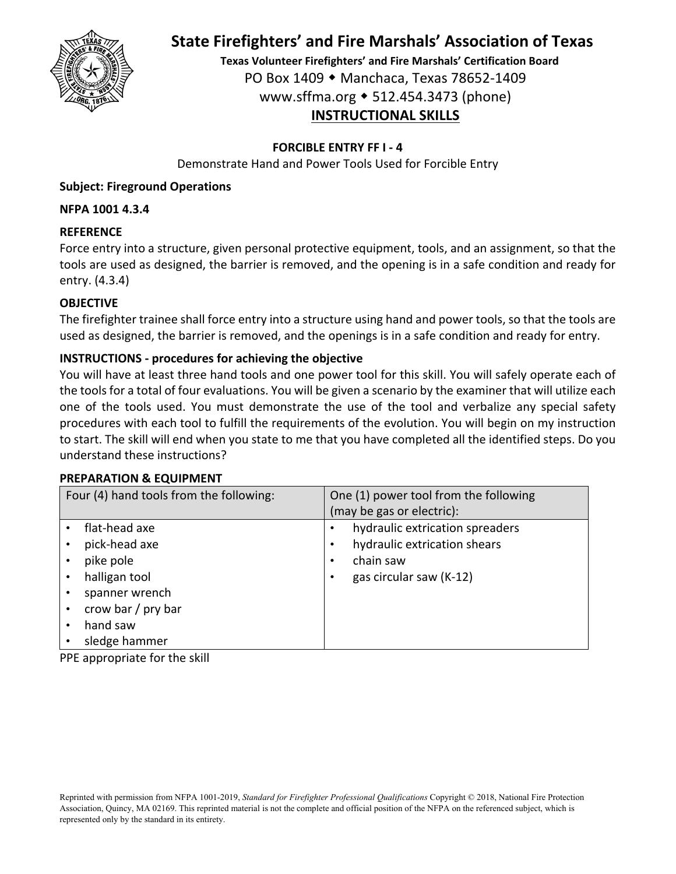

**Texas Volunteer Firefighters' and Fire Marshals' Certification Board** PO Box 1409 Manchaca, Texas 78652‐1409 www.sffma.org 512.454.3473 (phone) **INSTRUCTIONAL SKILLS**

### **FORCIBLE ENTRY FF I ‐ 4**

Demonstrate Hand and Power Tools Used for Forcible Entry

### **Subject: Fireground Operations**

### **NFPA 1001 4.3.4**

### **REFERENCE**

Force entry into a structure, given personal protective equipment, tools, and an assignment, so that the tools are used as designed, the barrier is removed, and the opening is in a safe condition and ready for entry. (4.3.4)

### **OBJECTIVE**

The firefighter trainee shall force entry into a structure using hand and power tools, so that the tools are used as designed, the barrier is removed, and the openings is in a safe condition and ready for entry.

### **INSTRUCTIONS ‐ procedures for achieving the objective**

You will have at least three hand tools and one power tool for this skill. You will safely operate each of the tools for a total of four evaluations. You will be given a scenario by the examiner that will utilize each one of the tools used. You must demonstrate the use of the tool and verbalize any special safety procedures with each tool to fulfill the requirements of the evolution. You will begin on my instruction to start. The skill will end when you state to me that you have completed all the identified steps. Do you understand these instructions?

#### **PREPARATION & EQUIPMENT**

| Four (4) hand tools from the following:                                                                                           | One (1) power tool from the following<br>(may be gas or electric):                                      |
|-----------------------------------------------------------------------------------------------------------------------------------|---------------------------------------------------------------------------------------------------------|
| flat-head axe<br>pick-head axe<br>pike pole<br>halligan tool<br>spanner wrench<br>crow bar / pry bar<br>hand saw<br>sledge hammer | hydraulic extrication spreaders<br>hydraulic extrication shears<br>chain saw<br>gas circular saw (K-12) |

PPE appropriate for the skill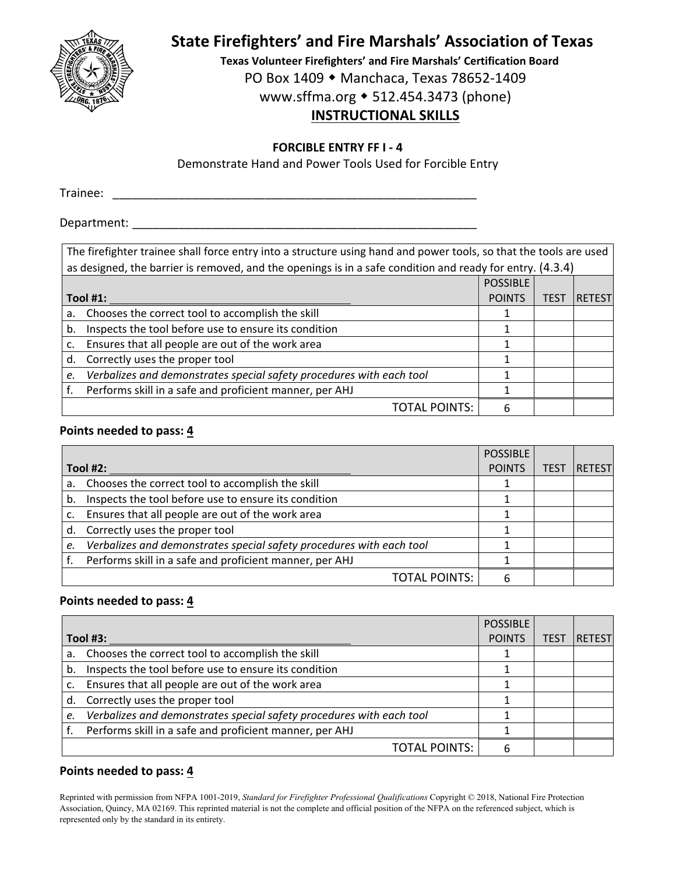

**Texas Volunteer Firefighters' and Fire Marshals' Certification Board** PO Box 1409 ◆ Manchaca, Texas 78652-1409

www.sffma.org 512.454.3473 (phone)

# **INSTRUCTIONAL SKILLS**

### **FORCIBLE ENTRY FF I ‐ 4**

Demonstrate Hand and Power Tools Used for Forcible Entry

Trainee: \_\_\_\_\_\_\_\_\_\_\_\_\_\_\_\_\_\_\_\_\_\_\_\_\_\_\_\_\_\_\_\_\_\_\_\_\_\_\_\_\_\_\_\_\_\_\_\_\_\_\_\_\_\_\_

Department:  $\blacksquare$ 

|    | The firefighter trainee shall force entry into a structure using hand and power tools, so that the tools are used |                 |             |               |  |
|----|-------------------------------------------------------------------------------------------------------------------|-----------------|-------------|---------------|--|
|    | as designed, the barrier is removed, and the openings is in a safe condition and ready for entry. (4.3.4)         |                 |             |               |  |
|    |                                                                                                                   | <b>POSSIBLE</b> |             |               |  |
|    | Tool $#1$ :                                                                                                       | <b>POINTS</b>   | <b>TEST</b> | <b>RETEST</b> |  |
| a. | Chooses the correct tool to accomplish the skill                                                                  |                 |             |               |  |
| b. | Inspects the tool before use to ensure its condition                                                              |                 |             |               |  |
| c. | Ensures that all people are out of the work area                                                                  |                 |             |               |  |
| d. | Correctly uses the proper tool                                                                                    |                 |             |               |  |
| e. | Verbalizes and demonstrates special safety procedures with each tool                                              |                 |             |               |  |
|    | Performs skill in a safe and proficient manner, per AHJ                                                           |                 |             |               |  |
|    | <b>TOTAL POINTS:</b>                                                                                              | 6               |             |               |  |

### **Points needed to pass: 4**

|            |                                                                      | POSSIBLE      |      |               |
|------------|----------------------------------------------------------------------|---------------|------|---------------|
| Tool $#2:$ |                                                                      | <b>POINTS</b> | TES1 | <b>RETEST</b> |
|            | a. Chooses the correct tool to accomplish the skill                  |               |      |               |
| b.         | Inspects the tool before use to ensure its condition                 |               |      |               |
| c.         | Ensures that all people are out of the work area                     |               |      |               |
|            | d. Correctly uses the proper tool                                    |               |      |               |
| e.         | Verbalizes and demonstrates special safety procedures with each tool |               |      |               |
|            | Performs skill in a safe and proficient manner, per AHJ              |               |      |               |
|            | <b>TOTAL POINTS:</b>                                                 |               |      |               |

## **Points needed to pass: 4**

|          |                                                                      | <b>POSSIBLE</b> |             |               |
|----------|----------------------------------------------------------------------|-----------------|-------------|---------------|
| Tool #3: |                                                                      | <b>POINTS</b>   | <b>TEST</b> | <b>RETEST</b> |
|          | a. Chooses the correct tool to accomplish the skill                  |                 |             |               |
| b.       | Inspects the tool before use to ensure its condition                 |                 |             |               |
|          | Ensures that all people are out of the work area                     |                 |             |               |
|          | d. Correctly uses the proper tool                                    |                 |             |               |
| e.       | Verbalizes and demonstrates special safety procedures with each tool |                 |             |               |
|          | Performs skill in a safe and proficient manner, per AHJ              |                 |             |               |
|          | <b>TOTAL POINTS:</b>                                                 |                 |             |               |

## **Points needed to pass: 4**